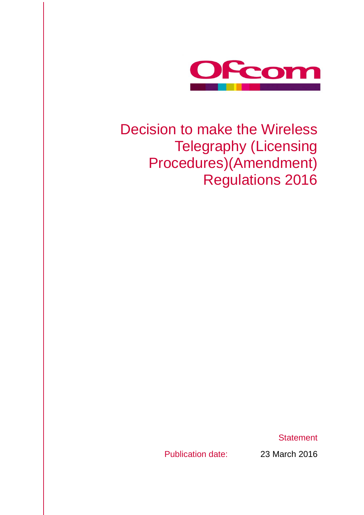

# Decision to make the Wireless Telegraphy (Licensing Procedures)(Amendment) Regulations 2016

**Statement** 

Publication date: 23 March 2016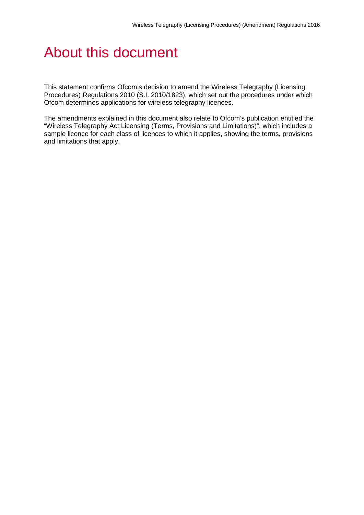# About this document

This statement confirms Ofcom's decision to amend the Wireless Telegraphy (Licensing Procedures) Regulations 2010 (S.I. 2010/1823), which set out the procedures under which Ofcom determines applications for wireless telegraphy licences.

The amendments explained in this document also relate to Ofcom's publication entitled the "Wireless Telegraphy Act Licensing (Terms, Provisions and Limitations)", which includes a sample licence for each class of licences to which it applies, showing the terms, provisions and limitations that apply.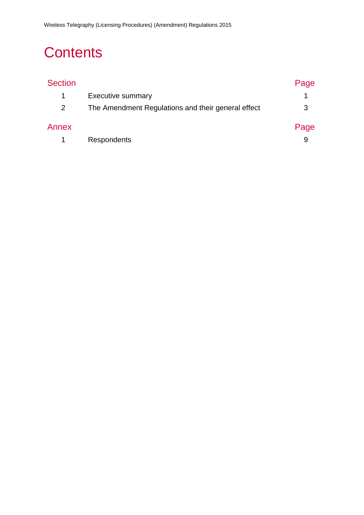# **Contents**

| <b>Section</b>        |                                                    | Page |
|-----------------------|----------------------------------------------------|------|
|                       | <b>Executive summary</b>                           |      |
| $\mathbf{2}^{\prime}$ | The Amendment Regulations and their general effect | 3    |
| Annex                 |                                                    | Page |
|                       | <b>Respondents</b>                                 | 9    |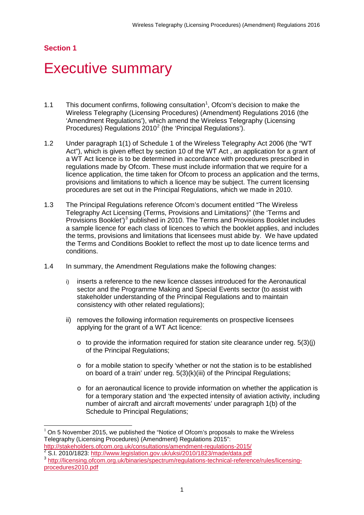### **Section 1**

# <span id="page-3-0"></span>**Executive summary**

- [1](#page-3-1).1 This document confirms, following consultation<sup>1</sup>, Ofcom's decision to make the Wireless Telegraphy (Licensing Procedures) (Amendment) Regulations 2016 (the 'Amendment Regulations'), which amend the Wireless Telegraphy (Licensing Procedures) Regulations  $2010^2$  $2010^2$  (the 'Principal Regulations').
- 1.2 Under paragraph 1(1) of Schedule 1 of the Wireless Telegraphy Act 2006 (the "WT Act"), which is given effect by section 10 of the WT Act , an application for a grant of a WT Act licence is to be determined in accordance with procedures prescribed in regulations made by Ofcom. These must include information that we require for a licence application, the time taken for Ofcom to process an application and the terms, provisions and limitations to which a licence may be subject. The current licensing procedures are set out in the Principal Regulations, which we made in 2010.
- 1.3 The Principal Regulations reference Ofcom's document entitled "The Wireless Telegraphy Act Licensing (Terms, Provisions and Limitations)" (the 'Terms and Provisions Booklet')<sup>[3](#page-3-3)</sup> published in 2010. The Terms and Provisions Booklet includes a sample licence for each class of licences to which the booklet applies, and includes the terms, provisions and limitations that licensees must abide by. We have updated the Terms and Conditions Booklet to reflect the most up to date licence terms and conditions.
- 1.4 In summary, the Amendment Regulations make the following changes:
	- i) inserts a reference to the new licence classes introduced for the Aeronautical sector and the Programme Making and Special Events sector (to assist with stakeholder understanding of the Principal Regulations and to maintain consistency with other related regulations);
	- ii) removes the following information requirements on prospective licensees applying for the grant of a WT Act licence:
		- $\circ$  to provide the information required for station site clearance under reg.  $5(3)(i)$ of the Principal Regulations;
		- $\circ$  for a mobile station to specify 'whether or not the station is to be established on board of a train' under reg. 5(3)(k)(iii) of the Principal Regulations;
		- $\circ$  for an aeronautical licence to provide information on whether the application is for a temporary station and 'the expected intensity of aviation activity, including number of aircraft and aircraft movements' under paragraph 1(b) of the Schedule to Principal Regulations;

<span id="page-3-1"></span> $1$  On 5 November 2015, we published the "Notice of Ofcom's proposals to make the Wireless Telegraphy (Licensing Procedures) (Amendment) Regulations 2015": -

<http://stakeholders.ofcom.org.uk/consultations/amendment-regulations-2015/><br>
S.I. 2010/1823: http://www.legislation.gov.uk/uksi/2010/1823/made/data.pdf

<span id="page-3-2"></span>

<span id="page-3-3"></span><sup>&</sup>lt;sup>3</sup> [http://licensing.ofcom.org.uk/binaries/spectrum/regulations-technical-reference/rules/licensing](http://licensing.ofcom.org.uk/binaries/spectrum/regulations-technical-reference/rules/licensing-procedures2010.pdf)[procedures2010.pdf](http://licensing.ofcom.org.uk/binaries/spectrum/regulations-technical-reference/rules/licensing-procedures2010.pdf)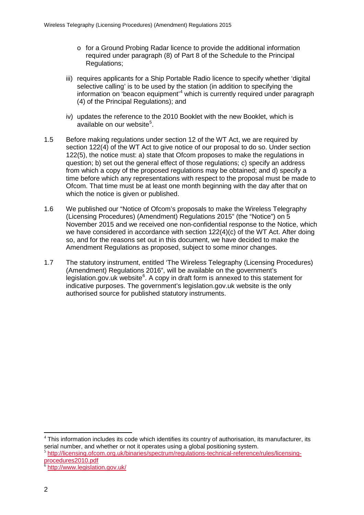- $\circ$  for a Ground Probing Radar licence to provide the additional information required under paragraph (8) of Part 8 of the Schedule to the Principal Regulations;
- iii) requires applicants for a Ship Portable Radio licence to specify whether 'digital selective calling' is to be used by the station (in addition to specifying the information on 'beacon equipment'<sup>[4](#page-4-0)</sup> which is currently required under paragraph (4) of the Principal Regulations); and
- iv) updates the reference to the 2010 Booklet with the new Booklet, which is available on our website<sup>[5](#page-4-1)</sup>.
- 1.5 Before making regulations under section 12 of the WT Act, we are required by section 122(4) of the WT Act to give notice of our proposal to do so. Under section 122(5), the notice must: a) state that Ofcom proposes to make the regulations in question; b) set out the general effect of those regulations; c) specify an address from which a copy of the proposed regulations may be obtained; and d) specify a time before which any representations with respect to the proposal must be made to Ofcom. That time must be at least one month beginning with the day after that on which the notice is given or published.
- 1.6 We published our "Notice of Ofcom's proposals to make the Wireless Telegraphy (Licensing Procedures) (Amendment) Regulations 2015" (the "Notice") on 5 November 2015 and we received one non-confidential response to the Notice, which we have considered in accordance with section 122(4)(c) of the WT Act. After doing so, and for the reasons set out in this document, we have decided to make the Amendment Regulations as proposed, subject to some minor changes.
- 1.7 The statutory instrument, entitled 'The Wireless Telegraphy (Licensing Procedures) (Amendment) Regulations 2016", will be available on the government's legislation.gov.uk website<sup>[6](#page-4-2)</sup>. A copy in draft form is annexed to this statement for indicative purposes. The government's legislation.gov.uk website is the only authorised source for published statutory instruments.

<span id="page-4-0"></span> $4$  This information includes its code which identifies its country of authorisation, its manufacturer, its serial number, and whether or not it operates using a global positioning system. -

<span id="page-4-1"></span><sup>5</sup> http://licensing.ofcom.org.uk/binaries/spectrum/regulations-technical-reference/rules/licensingprocedures2010.pdf

<span id="page-4-2"></span><http://www.legislation.gov.uk/>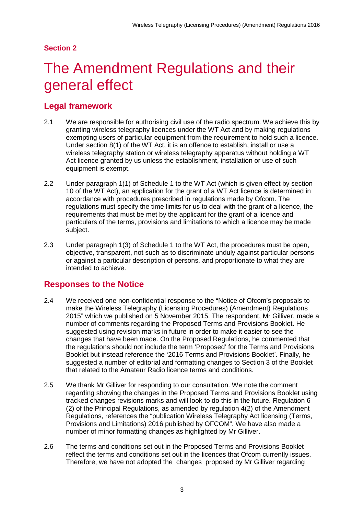## **Section 2**

# <span id="page-5-0"></span>The Amendment Regulations and their general effect

# **Legal framework**

- 2.1 We are responsible for authorising civil use of the radio spectrum. We achieve this by granting wireless telegraphy licences under the WT Act and by making regulations exempting users of particular equipment from the requirement to hold such a licence. Under section 8(1) of the WT Act, it is an offence to establish, install or use a wireless telegraphy station or wireless telegraphy apparatus without holding a WT Act licence granted by us unless the establishment, installation or use of such equipment is exempt.
- 2.2 Under paragraph 1(1) of Schedule 1 to the WT Act (which is given effect by section 10 of the WT Act), an application for the grant of a WT Act licence is determined in accordance with procedures prescribed in regulations made by Ofcom. The regulations must specify the time limits for us to deal with the grant of a licence, the requirements that must be met by the applicant for the grant of a licence and particulars of the terms, provisions and limitations to which a licence may be made subject.
- 2.3 Under paragraph 1(3) of Schedule 1 to the WT Act, the procedures must be open, objective, transparent, not such as to discriminate unduly against particular persons or against a particular description of persons, and proportionate to what they are intended to achieve.

## **Responses to the Notice**

- 2.4 We received one non-confidential response to the "Notice of Ofcom's proposals to make the Wireless Telegraphy (Licensing Procedures) (Amendment) Regulations 2015" which we published on 5 November 2015. The respondent, Mr Gilliver, made a number of comments regarding the Proposed Terms and Provisions Booklet. He suggested using revision marks in future in order to make it easier to see the changes that have been made. On the Proposed Regulations, he commented that the regulations should not include the term 'Proposed' for the Terms and Provisions Booklet but instead reference the '2016 Terms and Provisions Booklet'. Finally, he suggested a number of editorial and formatting changes to Section 3 of the Booklet that related to the Amateur Radio licence terms and conditions.
- 2.5 We thank Mr Gilliver for responding to our consultation. We note the comment regarding showing the changes in the Proposed Terms and Provisions Booklet using tracked changes revisions marks and will look to do this in the future. Regulation 6 (2) of the Principal Regulations, as amended by regulation 4(2) of the Amendment Regulations, references the "publication Wireless Telegraphy Act licensing (Terms, Provisions and Limitations) 2016 published by OFCOM". We have also made a number of minor formatting changes as highlighted by Mr Gilliver.
- 2.6 The terms and conditions set out in the Proposed Terms and Provisions Booklet reflect the terms and conditions set out in the licences that Ofcom currently issues. Therefore, we have not adopted the changes proposed by Mr Gilliver regarding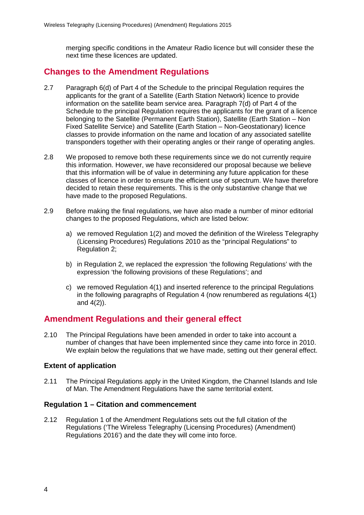merging specific conditions in the Amateur Radio licence but will consider these the next time these licences are updated.

## **Changes to the Amendment Regulations**

- 2.7 Paragraph 6(d) of Part 4 of the Schedule to the principal Regulation requires the applicants for the grant of a Satellite (Earth Station Network) licence to provide information on the satellite beam service area. Paragraph 7(d) of Part 4 of the Schedule to the principal Regulation requires the applicants for the grant of a licence belonging to the Satellite (Permanent Earth Station), Satellite (Earth Station – Non Fixed Satellite Service) and Satellite (Earth Station – Non-Geostationary) licence classes to provide information on the name and location of any associated satellite transponders together with their operating angles or their range of operating angles.
- 2.8 We proposed to remove both these requirements since we do not currently require this information. However, we have reconsidered our proposal because we believe that this information will be of value in determining any future application for these classes of licence in order to ensure the efficient use of spectrum. We have therefore decided to retain these requirements. This is the only substantive change that we have made to the proposed Regulations.
- 2.9 Before making the final regulations, we have also made a number of minor editorial changes to the proposed Regulations, which are listed below:
	- a) we removed Regulation 1(2) and moved the definition of the Wireless Telegraphy (Licensing Procedures) Regulations 2010 as the "principal Regulations" to Regulation 2;
	- b) in Regulation 2, we replaced the expression 'the following Regulations' with the expression 'the following provisions of these Regulations'; and
	- c) we removed Regulation 4(1) and inserted reference to the principal Regulations in the following paragraphs of Regulation 4 (now renumbered as regulations 4(1) and 4(2)).

## **Amendment Regulations and their general effect**

2.10 The Principal Regulations have been amended in order to take into account a number of changes that have been implemented since they came into force in 2010. We explain below the regulations that we have made, setting out their general effect.

#### **Extent of application**

2.11 The Principal Regulations apply in the United Kingdom, the Channel Islands and Isle of Man. The Amendment Regulations have the same territorial extent.

#### **Regulation 1 – Citation and commencement**

2.12 Regulation 1 of the Amendment Regulations sets out the full citation of the Regulations ('The Wireless Telegraphy (Licensing Procedures) (Amendment) Regulations 2016') and the date they will come into force.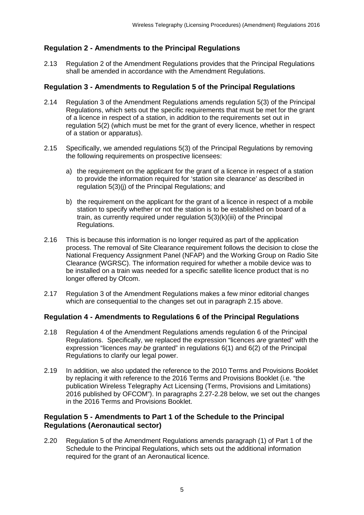### **Regulation 2 - Amendments to the Principal Regulations**

2.13 Regulation 2 of the Amendment Regulations provides that the Principal Regulations shall be amended in accordance with the Amendment Regulations.

#### **Regulation 3 - Amendments to Regulation 5 of the Principal Regulations**

- 2.14 Regulation 3 of the Amendment Regulations amends regulation 5(3) of the Principal Regulations, which sets out the specific requirements that must be met for the grant of a licence in respect of a station, in addition to the requirements set out in regulation 5(2) (which must be met for the grant of every licence, whether in respect of a station or apparatus).
- <span id="page-7-0"></span>2.15 Specifically, we amended regulations 5(3) of the Principal Regulations by removing the following requirements on prospective licensees:
	- a) the requirement on the applicant for the grant of a licence in respect of a station to provide the information required for 'station site clearance' as described in regulation 5(3)(j) of the Principal Regulations; and
	- b) the requirement on the applicant for the grant of a licence in respect of a mobile station to specify whether or not the station is to be established on board of a train, as currently required under regulation 5(3)(k)(iii) of the Principal Regulations.
- 2.16 This is because this information is no longer required as part of the application process. The removal of Site Clearance requirement follows the decision to close the National Frequency Assignment Panel (NFAP) and the Working Group on Radio Site Clearance (WGRSC). The information required for whether a mobile device was to be installed on a train was needed for a specific satellite licence product that is no longer offered by Ofcom.
- 2.17 Regulation 3 of the Amendment Regulations makes a few minor editorial changes which are consequential to the changes set out in paragraph [2.15](#page-7-0) above.

### **Regulation 4 - Amendments to Regulations 6 of the Principal Regulations**

- 2.18 Regulation 4 of the Amendment Regulations amends regulation 6 of the Principal Regulations. Specifically, we replaced the expression "licences *are* granted" with the expression "licences *may be* granted" in regulations 6(1) and 6(2) of the Principal Regulations to clarify our legal power.
- 2.19 In addition, we also updated the reference to the 2010 Terms and Provisions Booklet by replacing it with reference to the 2016 Terms and Provisions Booklet (i.e. "the publication Wireless Telegraphy Act Licensing (Terms, Provisions and Limitations) 2016 published by OFCOM"). In paragraphs [2.27](#page-9-0)[-2.28](#page-10-0) below, we set out the changes in the 2016 Terms and Provisions Booklet.

#### **Regulation 5 - Amendments to Part 1 of the Schedule to the Principal Regulations (Aeronautical sector)**

2.20 Regulation 5 of the Amendment Regulations amends paragraph (1) of Part 1 of the Schedule to the Principal Regulations, which sets out the additional information required for the grant of an Aeronautical licence.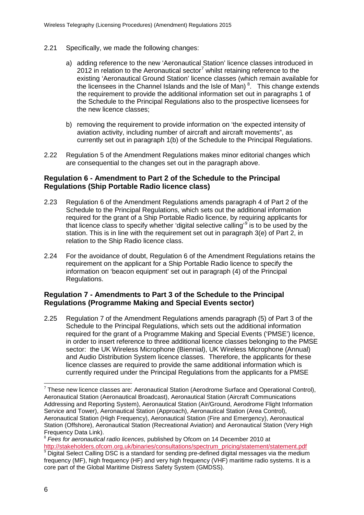- 2.21 Specifically, we made the following changes:
	- a) adding reference to the new 'Aeronautical Station' licence classes introduced in 2012 in relation to the Aeronautical sector<sup>[7](#page-8-0)</sup> whilst retaining reference to the existing 'Aeronautical Ground Station' licence classes (which remain available for the licensees in the Channel Islands and the Isle of Man)<sup>[8](#page-8-1)</sup>. This change extends the requirement to provide the additional information set out in paragraphs 1 of the Schedule to the Principal Regulations also to the prospective licensees for the new licence classes;
	- b) removing the requirement to provide information on 'the expected intensity of aviation activity, including number of aircraft and aircraft movements", as currently set out in paragraph 1(b) of the Schedule to the Principal Regulations.
- 2.22 Regulation 5 of the Amendment Regulations makes minor editorial changes which are consequential to the changes set out in the paragraph above.

#### **Regulation 6 - Amendment to Part 2 of the Schedule to the Principal Regulations (Ship Portable Radio licence class)**

- 2.23 Regulation 6 of the Amendment Regulations amends paragraph 4 of Part 2 of the Schedule to the Principal Regulations, which sets out the additional information required for the grant of a Ship Portable Radio licence, by requiring applicants for that licence class to specify whether 'digital selective calling'<sup>[9](#page-8-2)</sup> is to be used by the station. This is in line with the requirement set out in paragraph 3(e) of Part 2, in relation to the Ship Radio licence class.
- 2.24 For the avoidance of doubt, Regulation 6 of the Amendment Regulations retains the requirement on the applicant for a Ship Portable Radio licence to specify the information on 'beacon equipment' set out in paragraph (4) of the Principal Regulations.

### **Regulation 7 - Amendments to Part 3 of the Schedule to the Principal Regulations (Programme Making and Special Events sector)**

2.25 Regulation 7 of the Amendment Regulations amends paragraph (5) of Part 3 of the Schedule to the Principal Regulations, which sets out the additional information required for the grant of a Programme Making and Special Events ('PMSE') licence, in order to insert reference to three additional licence classes belonging to the PMSE sector: the UK Wireless Microphone (Biennial), UK Wireless Microphone (Annual) and Audio Distribution System licence classes. Therefore, the applicants for these licence classes are required to provide the same additional information which is currently required under the Principal Regulations from the applicants for a PMSE

-

<span id="page-8-0"></span> $7$  These new licence classes are: Aeronautical Station (Aerodrome Surface and Operational Control), Aeronautical Station (Aeronautical Broadcast), Aeronautical Station (Aircraft Communications Addressing and Reporting System), Aeronautical Station (Air/Ground, Aerodrome Flight Information Service and Tower), Aeronautical Station (Approach), Aeronautical Station (Area Control), Aeronautical Station (High Frequency), Aeronautical Station (Fire and Emergency), Aeronautical Station (Offshore), Aeronautical Station (Recreational Aviation) and Aeronautical Station (Very High Frequency Data Link).

<span id="page-8-1"></span><sup>8</sup> *Fees for aeronautical radio licences,* published by Ofcom on 14 December 2010 at [http://stakeholders.ofcom.org.uk/binaries/consultations/spectrum\\_pricing/statement/statement.pdf](http://stakeholders.ofcom.org.uk/binaries/consultations/spectrum_pricing/statement/statement.pdf)  $9$  Digital Select Calling DSC is a standard for sending pre-defined digital messages via the medium

<span id="page-8-2"></span>frequency (MF), high frequency (HF) and very high frequency (VHF) maritime radio systems. It is a core part of the Global Maritime Distress Safety System (GMDSS).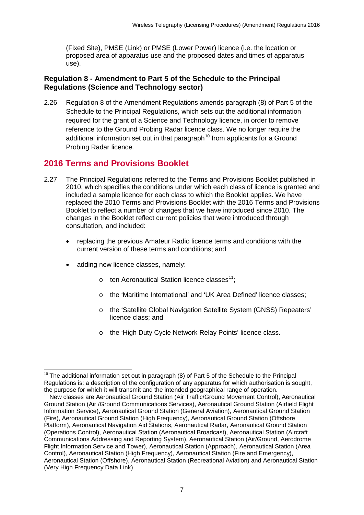(Fixed Site), PMSE (Link) or PMSE (Lower Power) licence (i.e. the location or proposed area of apparatus use and the proposed dates and times of apparatus use).

### **Regulation 8 - Amendment to Part 5 of the Schedule to the Principal Regulations (Science and Technology sector)**

2.26 Regulation 8 of the Amendment Regulations amends paragraph (8) of Part 5 of the Schedule to the Principal Regulations, which sets out the additional information required for the grant of a Science and Technology licence, in order to remove reference to the Ground Probing Radar licence class. We no longer require the additional information set out in that paragraph<sup>[10](#page-9-1)</sup> from applicants for a Ground Probing Radar licence.

## **2016 Terms and Provisions Booklet**

- <span id="page-9-0"></span>2.27 The Principal Regulations referred to the Terms and Provisions Booklet published in 2010, which specifies the conditions under which each class of licence is granted and included a sample licence for each class to which the Booklet applies. We have replaced the 2010 Terms and Provisions Booklet with the 2016 Terms and Provisions Booklet to reflect a number of changes that we have introduced since 2010. The changes in the Booklet reflect current policies that were introduced through consultation, and included:
	- replacing the previous Amateur Radio licence terms and conditions with the current version of these terms and conditions; and
	- adding new licence classes, namely:
		- $\circ$  ten Aeronautical Station licence classes<sup>11</sup>:
		- o the 'Maritime International' and 'UK Area Defined' licence classes;
		- o the 'Satellite Global Navigation Satellite System (GNSS) Repeaters' licence class; and
		- o the 'High Duty Cycle Network Relay Points' licence class.

<span id="page-9-1"></span> $10$  The additional information set out in paragraph (8) of Part 5 of the Schedule to the Principal Regulations is: a description of the configuration of any apparatus for which authorisation is sought, the purpose for which it will transmit and the intended geographical range of operation.<br><sup>11</sup> New classes are Aeronautical Ground Station (Air Traffic/Ground Movement Control), Aeronautical -

<span id="page-9-2"></span>Ground Station (Air /Ground Communications Services), Aeronautical Ground Station (Airfield Flight Information Service), Aeronautical Ground Station (General Aviation), Aeronautical Ground Station (Fire), Aeronautical Ground Station (High Frequency), Aeronautical Ground Station (Offshore Platform), Aeronautical Navigation Aid Stations, Aeronautical Radar, Aeronautical Ground Station (Operations Control), Aeronautical Station (Aeronautical Broadcast), Aeronautical Station (Aircraft Communications Addressing and Reporting System), Aeronautical Station (Air/Ground, Aerodrome Flight Information Service and Tower), Aeronautical Station (Approach), Aeronautical Station (Area Control), Aeronautical Station (High Frequency), Aeronautical Station (Fire and Emergency), Aeronautical Station (Offshore), Aeronautical Station (Recreational Aviation) and Aeronautical Station (Very High Frequency Data Link)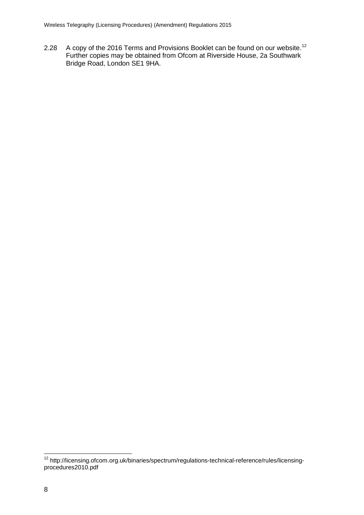<span id="page-10-0"></span>2.28 A copy of the 2016 Terms and Provisions Booklet can be found on our website.<sup>[12](#page-10-1)</sup> Further copies may be obtained from Ofcom at Riverside House, 2a Southwark Bridge Road, London SE1 9HA.

<span id="page-10-1"></span><sup>&</sup>lt;sup>12</sup> http://licensing.ofcom.org.uk/binaries/spectrum/regulations-technical-reference/rules/licensingprocedures2010.pdf  $\overline{a}$